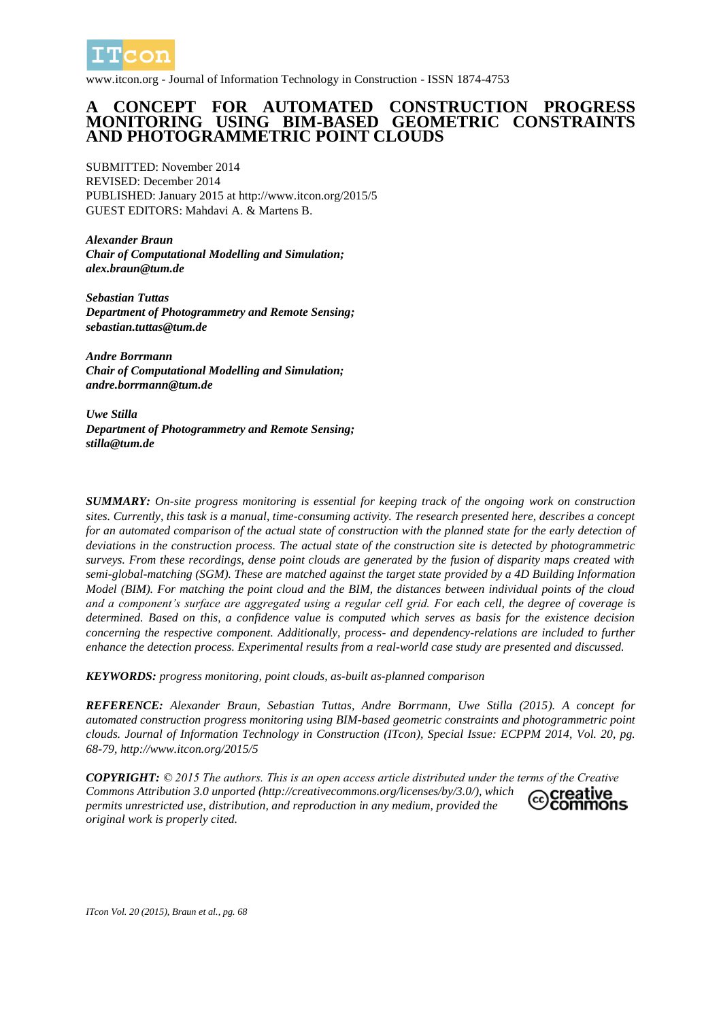

www.itcon.org - Journal of Information Technology in Construction - ISSN 1874-4753

# **A CONCEPT FOR AUTOMATED CONSTRUCTION PROGRESS**  USING BIM-BASED GEOMETRIC CONSTRAINTS **AND PHOTOGRAMMETRIC POINT CLOUDS**

SUBMITTED: November 2014 REVISED: December 2014 PUBLISHED: January 2015 at http://www.itcon.org/2015/5 GUEST EDITORS: Mahdavi A. & Martens B.

*Alexander Braun Chair of Computational Modelling and Simulation; alex.braun@tum.de*

*Sebastian Tuttas Department of Photogrammetry and Remote Sensing; sebastian.tuttas@tum.de*

*Andre Borrmann Chair of Computational Modelling and Simulation; andre.borrmann@tum.de*

*Uwe Stilla Department of Photogrammetry and Remote Sensing; stilla@tum.de*

*SUMMARY: On-site progress monitoring is essential for keeping track of the ongoing work on construction sites. Currently, this task is a manual, time-consuming activity. The research presented here, describes a concept for an automated comparison of the actual state of construction with the planned state for the early detection of deviations in the construction process. The actual state of the construction site is detected by photogrammetric surveys. From these recordings, dense point clouds are generated by the fusion of disparity maps created with semi-global-matching (SGM). These are matched against the target state provided by a 4D Building Information Model (BIM). For matching the point cloud and the BIM, the distances between individual points of the cloud and a component's surface are aggregated using a regular cell grid. For each cell, the degree of coverage is determined. Based on this, a confidence value is computed which serves as basis for the existence decision concerning the respective component. Additionally, process- and dependency-relations are included to further enhance the detection process. Experimental results from a real-world case study are presented and discussed.*

*KEYWORDS: progress monitoring, point clouds, as-built as-planned comparison*

*REFERENCE: Alexander Braun, Sebastian Tuttas, Andre Borrmann, Uwe Stilla (2015). A concept for automated construction progress monitoring using BIM-based geometric constraints and photogrammetric point clouds. Journal of Information Technology in Construction (ITcon), Special Issue: ECPPM 2014, Vol. 20, pg. 68-79, http://www.itcon.org/2015/5*

*COPYRIGHT: © 2015 The authors. This is an open access article distributed under the terms of the Creative Commons Attribution 3.0 unported (http://creativecommons.org/licenses/by/3.0/), which*  creative commons *permits unrestricted use, distribution, and reproduction in any medium, provided the original work is properly cited.*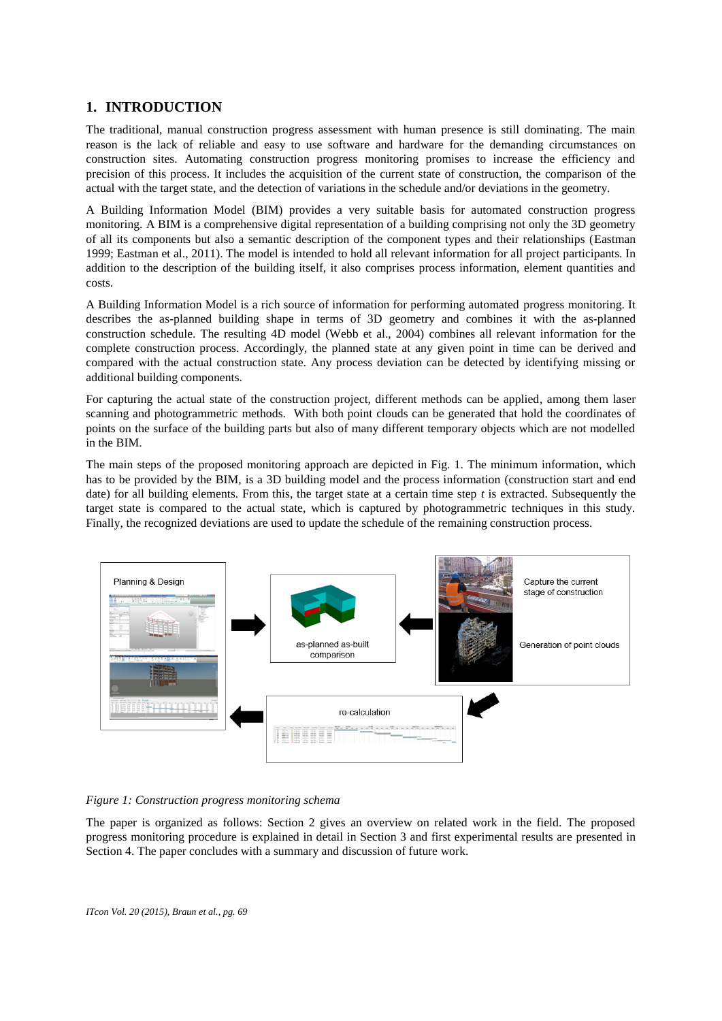# **1. INTRODUCTION**

The traditional, manual construction progress assessment with human presence is still dominating. The main reason is the lack of reliable and easy to use software and hardware for the demanding circumstances on construction sites. Automating construction progress monitoring promises to increase the efficiency and precision of this process. It includes the acquisition of the current state of construction, the comparison of the actual with the target state, and the detection of variations in the schedule and/or deviations in the geometry.

A Building Information Model (BIM) provides a very suitable basis for automated construction progress monitoring. A BIM is a comprehensive digital representation of a building comprising not only the 3D geometry of all its components but also a semantic description of the component types and their relationships (Eastman 1999; Eastman et al., 2011). The model is intended to hold all relevant information for all project participants. In addition to the description of the building itself, it also comprises process information, element quantities and costs.

A Building Information Model is a rich source of information for performing automated progress monitoring. It describes the as-planned building shape in terms of 3D geometry and combines it with the as-planned construction schedule. The resulting 4D model (Webb et al., 2004) combines all relevant information for the complete construction process. Accordingly, the planned state at any given point in time can be derived and compared with the actual construction state. Any process deviation can be detected by identifying missing or additional building components.

For capturing the actual state of the construction project, different methods can be applied, among them laser scanning and photogrammetric methods. With both point clouds can be generated that hold the coordinates of points on the surface of the building parts but also of many different temporary objects which are not modelled in the BIM.

The main steps of the proposed monitoring approach are depicted in Fig. 1. The minimum information, which has to be provided by the BIM, is a 3D building model and the process information (construction start and end date) for all building elements. From this, the target state at a certain time step *t* is extracted. Subsequently the target state is compared to the actual state, which is captured by photogrammetric techniques in this study. Finally, the recognized deviations are used to update the schedule of the remaining construction process.



### *Figure 1: Construction progress monitoring schema*

The paper is organized as follows: Section 2 gives an overview on related work in the field. The proposed progress monitoring procedure is explained in detail in Section 3 and first experimental results are presented in Section 4. The paper concludes with a summary and discussion of future work.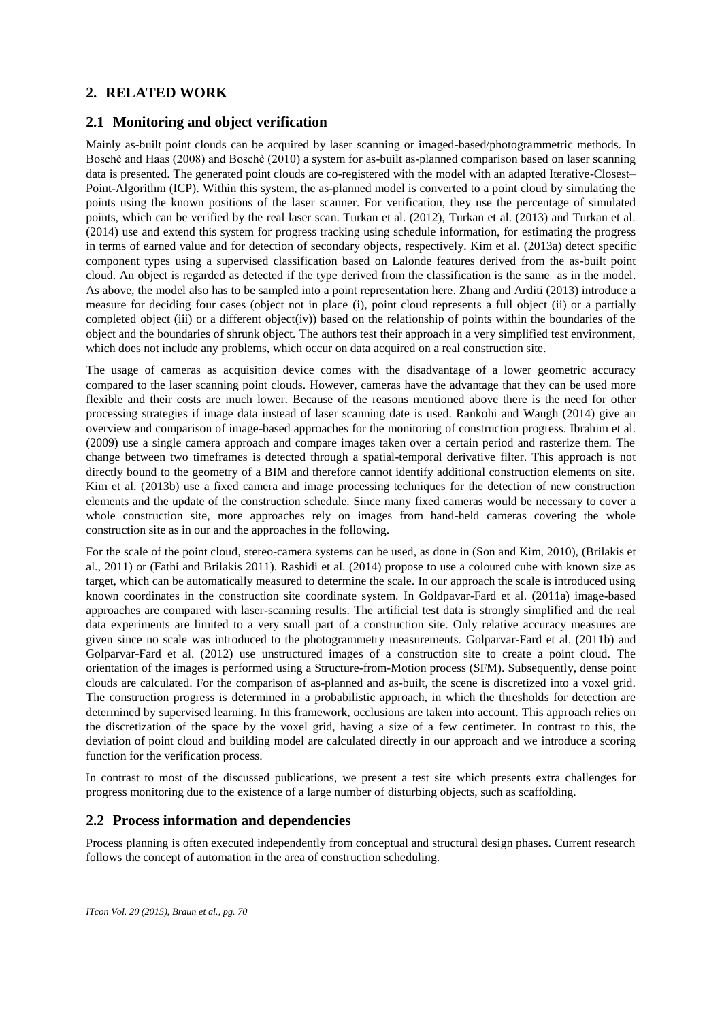## **2. RELATED WORK**

## **2.1 Monitoring and object verification**

Mainly as-built point clouds can be acquired by laser scanning or imaged-based/photogrammetric methods. In Boschè and Haas (2008) and Boschè (2010) a system for as-built as-planned comparison based on laser scanning data is presented. The generated point clouds are co-registered with the model with an adapted Iterative-Closest– Point-Algorithm (ICP). Within this system, the as-planned model is converted to a point cloud by simulating the points using the known positions of the laser scanner. For verification, they use the percentage of simulated points, which can be verified by the real laser scan. Turkan et al. (2012), Turkan et al. (2013) and Turkan et al. (2014) use and extend this system for progress tracking using schedule information, for estimating the progress in terms of earned value and for detection of secondary objects, respectively. Kim et al. (2013a) detect specific component types using a supervised classification based on Lalonde features derived from the as-built point cloud. An object is regarded as detected if the type derived from the classification is the same as in the model. As above, the model also has to be sampled into a point representation here. Zhang and Arditi (2013) introduce a measure for deciding four cases (object not in place (i), point cloud represents a full object (ii) or a partially completed object (iii) or a different object(iv)) based on the relationship of points within the boundaries of the object and the boundaries of shrunk object. The authors test their approach in a very simplified test environment, which does not include any problems, which occur on data acquired on a real construction site.

The usage of cameras as acquisition device comes with the disadvantage of a lower geometric accuracy compared to the laser scanning point clouds. However, cameras have the advantage that they can be used more flexible and their costs are much lower. Because of the reasons mentioned above there is the need for other processing strategies if image data instead of laser scanning date is used. Rankohi and Waugh (2014) give an overview and comparison of image-based approaches for the monitoring of construction progress. Ibrahim et al. (2009) use a single camera approach and compare images taken over a certain period and rasterize them. The change between two timeframes is detected through a spatial-temporal derivative filter. This approach is not directly bound to the geometry of a BIM and therefore cannot identify additional construction elements on site. Kim et al. (2013b) use a fixed camera and image processing techniques for the detection of new construction elements and the update of the construction schedule. Since many fixed cameras would be necessary to cover a whole construction site, more approaches rely on images from hand-held cameras covering the whole construction site as in our and the approaches in the following.

For the scale of the point cloud, stereo-camera systems can be used, as done in (Son and Kim, 2010), (Brilakis et al., 2011) or (Fathi and Brilakis 2011). Rashidi et al. (2014) propose to use a coloured cube with known size as target, which can be automatically measured to determine the scale. In our approach the scale is introduced using known coordinates in the construction site coordinate system. In Goldpavar-Fard et al. (2011a) image-based approaches are compared with laser-scanning results. The artificial test data is strongly simplified and the real data experiments are limited to a very small part of a construction site. Only relative accuracy measures are given since no scale was introduced to the photogrammetry measurements. Golparvar-Fard et al. (2011b) and Golparvar-Fard et al. (2012) use unstructured images of a construction site to create a point cloud. The orientation of the images is performed using a Structure-from-Motion process (SFM). Subsequently, dense point clouds are calculated. For the comparison of as-planned and as-built, the scene is discretized into a voxel grid. The construction progress is determined in a probabilistic approach, in which the thresholds for detection are determined by supervised learning. In this framework, occlusions are taken into account. This approach relies on the discretization of the space by the voxel grid, having a size of a few centimeter. In contrast to this, the deviation of point cloud and building model are calculated directly in our approach and we introduce a scoring function for the verification process.

In contrast to most of the discussed publications, we present a test site which presents extra challenges for progress monitoring due to the existence of a large number of disturbing objects, such as scaffolding.

## **2.2 Process information and dependencies**

Process planning is often executed independently from conceptual and structural design phases. Current research follows the concept of automation in the area of construction scheduling.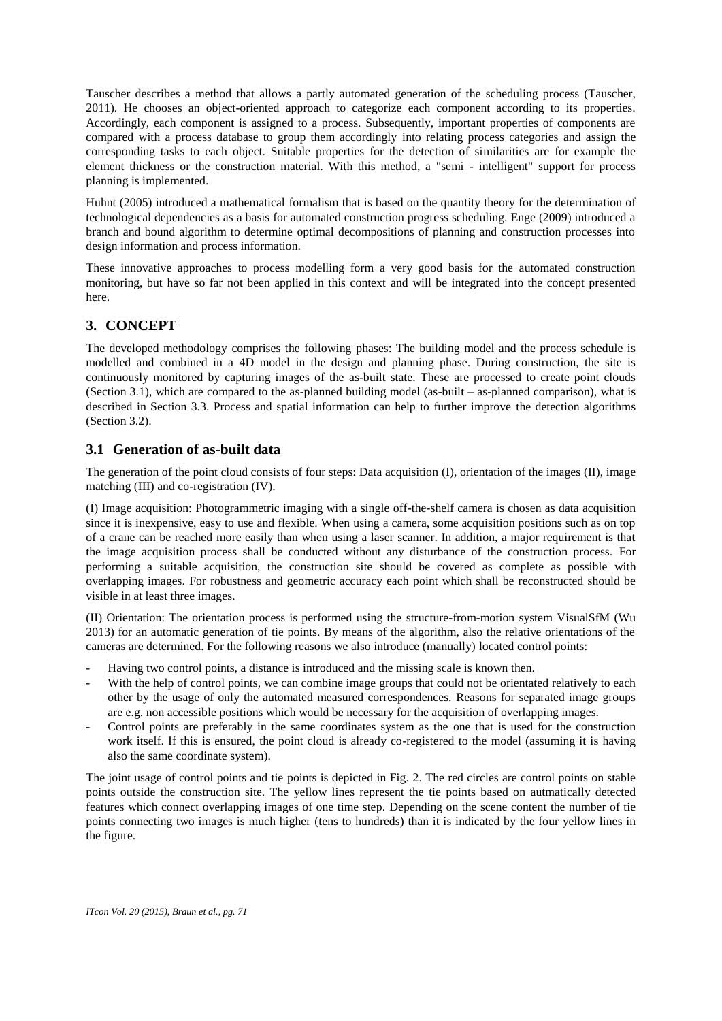Tauscher describes a method that allows a partly automated generation of the scheduling process (Tauscher, 2011). He chooses an object-oriented approach to categorize each component according to its properties. Accordingly, each component is assigned to a process. Subsequently, important properties of components are compared with a process database to group them accordingly into relating process categories and assign the corresponding tasks to each object. Suitable properties for the detection of similarities are for example the element thickness or the construction material. With this method, a "semi - intelligent" support for process planning is implemented.

Huhnt (2005) introduced a mathematical formalism that is based on the quantity theory for the determination of technological dependencies as a basis for automated construction progress scheduling. Enge (2009) introduced a branch and bound algorithm to determine optimal decompositions of planning and construction processes into design information and process information.

These innovative approaches to process modelling form a very good basis for the automated construction monitoring, but have so far not been applied in this context and will be integrated into the concept presented here.

# **3. CONCEPT**

The developed methodology comprises the following phases: The building model and the process schedule is modelled and combined in a 4D model in the design and planning phase. During construction, the site is continuously monitored by capturing images of the as-built state. These are processed to create point clouds (Section 3.1), which are compared to the as-planned building model (as-built – as-planned comparison), what is described in Section 3.3. Process and spatial information can help to further improve the detection algorithms (Section 3.2).

# **3.1 Generation of as-built data**

The generation of the point cloud consists of four steps: Data acquisition (I), orientation of the images (II), image matching (III) and co-registration (IV).

(I) Image acquisition: Photogrammetric imaging with a single off-the-shelf camera is chosen as data acquisition since it is inexpensive, easy to use and flexible. When using a camera, some acquisition positions such as on top of a crane can be reached more easily than when using a laser scanner. In addition, a major requirement is that the image acquisition process shall be conducted without any disturbance of the construction process. For performing a suitable acquisition, the construction site should be covered as complete as possible with overlapping images. For robustness and geometric accuracy each point which shall be reconstructed should be visible in at least three images.

(II) Orientation: The orientation process is performed using the structure-from-motion system VisualSfM (Wu 2013) for an automatic generation of tie points. By means of the algorithm, also the relative orientations of the cameras are determined. For the following reasons we also introduce (manually) located control points:

- Having two control points, a distance is introduced and the missing scale is known then.
- With the help of control points, we can combine image groups that could not be orientated relatively to each other by the usage of only the automated measured correspondences. Reasons for separated image groups are e.g. non accessible positions which would be necessary for the acquisition of overlapping images.
- Control points are preferably in the same coordinates system as the one that is used for the construction work itself. If this is ensured, the point cloud is already co-registered to the model (assuming it is having also the same coordinate system).

The joint usage of control points and tie points is depicted in Fig. 2. The red circles are control points on stable points outside the construction site. The yellow lines represent the tie points based on autmatically detected features which connect overlapping images of one time step. Depending on the scene content the number of tie points connecting two images is much higher (tens to hundreds) than it is indicated by the four yellow lines in the figure.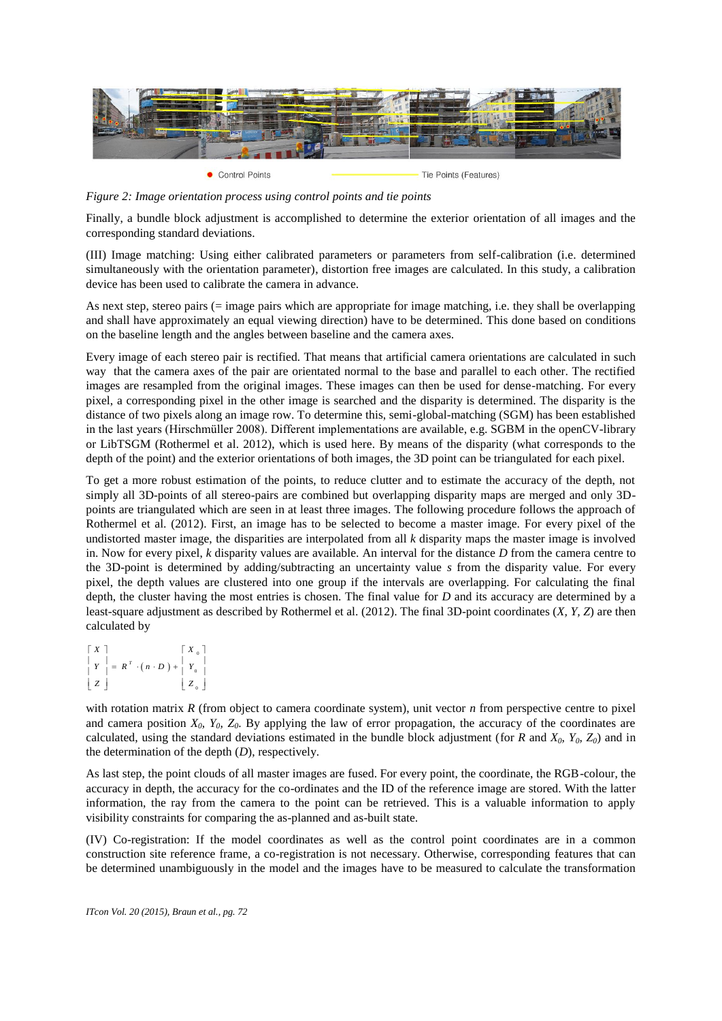

*Figure 2: Image orientation process using control points and tie points*

Finally, a bundle block adjustment is accomplished to determine the exterior orientation of all images and the corresponding standard deviations.

(III) Image matching: Using either calibrated parameters or parameters from self-calibration (i.e. determined simultaneously with the orientation parameter), distortion free images are calculated. In this study, a calibration device has been used to calibrate the camera in advance.

As next step, stereo pairs (= image pairs which are appropriate for image matching, i.e. they shall be overlapping and shall have approximately an equal viewing direction) have to be determined. This done based on conditions on the baseline length and the angles between baseline and the camera axes.

Every image of each stereo pair is rectified. That means that artificial camera orientations are calculated in such way that the camera axes of the pair are orientated normal to the base and parallel to each other. The rectified images are resampled from the original images. These images can then be used for dense-matching. For every pixel, a corresponding pixel in the other image is searched and the disparity is determined. The disparity is the distance of two pixels along an image row. To determine this, semi-global-matching (SGM) has been established in the last years (Hirschmüller 2008). Different implementations are available, e.g. SGBM in the openCV-library or LibTSGM (Rothermel et al. 2012), which is used here. By means of the disparity (what corresponds to the depth of the point) and the exterior orientations of both images, the 3D point can be triangulated for each pixel.

To get a more robust estimation of the points, to reduce clutter and to estimate the accuracy of the depth, not simply all 3D-points of all stereo-pairs are combined but overlapping disparity maps are merged and only 3Dpoints are triangulated which are seen in at least three images. The following procedure follows the approach of Rothermel et al. (2012). First, an image has to be selected to become a master image. For every pixel of the undistorted master image, the disparities are interpolated from all *k* disparity maps the master image is involved in. Now for every pixel, *k* disparity values are available. An interval for the distance *D* from the camera centre to the 3D-point is determined by adding/subtracting an uncertainty value *s* from the disparity value. For every pixel, the depth values are clustered into one group if the intervals are overlapping. For calculating the final depth, the cluster having the most entries is chosen. The final value for *D* and its accuracy are determined by a least-square adjustment as described by Rothermel et al. (2012). The final 3D-point coordinates (*X, Y, Z*) are then calculated by

| $\lceil X \rceil$ |                                                                                                           | $\lceil X_{\alpha} \rceil$ |
|-------------------|-----------------------------------------------------------------------------------------------------------|----------------------------|
|                   | $\begin{vmatrix} Y \\ Y \end{vmatrix} = R^T \cdot (n \cdot D) + \begin{vmatrix} Y_0 \\ Y_1 \end{vmatrix}$ |                            |
| Z                 |                                                                                                           | $Z_0$                      |

with rotation matrix *R* (from object to camera coordinate system), unit vector *n* from perspective centre to pixel and camera position  $X_0$ ,  $Y_0$ ,  $Z_0$ . By applying the law of error propagation, the accuracy of the coordinates are calculated, using the standard deviations estimated in the bundle block adjustment (for *R* and  $X_0$ ,  $Y_0$ ,  $Z_0$ ) and in the determination of the depth (*D*), respectively.

As last step, the point clouds of all master images are fused. For every point, the coordinate, the RGB-colour, the accuracy in depth, the accuracy for the co-ordinates and the ID of the reference image are stored. With the latter information, the ray from the camera to the point can be retrieved. This is a valuable information to apply visibility constraints for comparing the as-planned and as-built state.

(IV) Co-registration: If the model coordinates as well as the control point coordinates are in a common construction site reference frame, a co-registration is not necessary. Otherwise, corresponding features that can be determined unambiguously in the model and the images have to be measured to calculate the transformation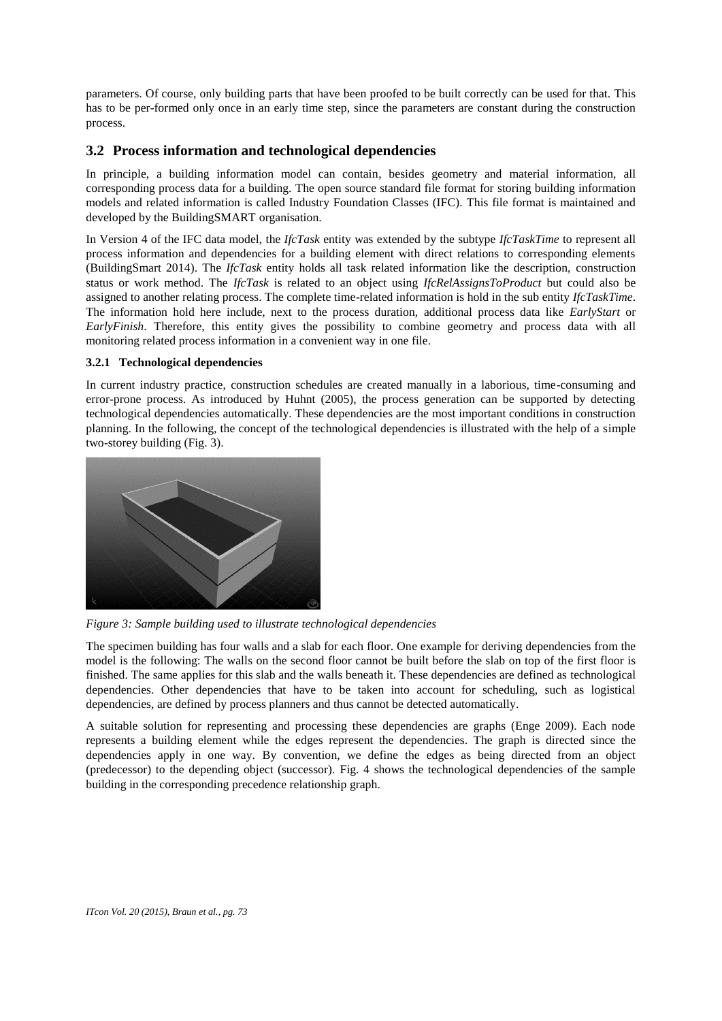parameters. Of course, only building parts that have been proofed to be built correctly can be used for that. This has to be per-formed only once in an early time step, since the parameters are constant during the construction process.

## **3.2 Process information and technological dependencies**

In principle, a building information model can contain, besides geometry and material information, all corresponding process data for a building. The open source standard file format for storing building information models and related information is called Industry Foundation Classes (IFC). This file format is maintained and developed by the BuildingSMART organisation.

In Version 4 of the IFC data model, the *IfcTask* entity was extended by the subtype *IfcTaskTime* to represent all process information and dependencies for a building element with direct relations to corresponding elements (BuildingSmart 2014). The *IfcTask* entity holds all task related information like the description, construction status or work method. The *IfcTask* is related to an object using *IfcRelAssignsToProduct* but could also be assigned to another relating process. The complete time-related information is hold in the sub entity *IfcTaskTime*. The information hold here include, next to the process duration, additional process data like *EarlyStart* or *EarlyFinish*. Therefore, this entity gives the possibility to combine geometry and process data with all monitoring related process information in a convenient way in one file.

## **3.2.1 Technological dependencies**

In current industry practice, construction schedules are created manually in a laborious, time-consuming and error-prone process. As introduced by Huhnt (2005), the process generation can be supported by detecting technological dependencies automatically. These dependencies are the most important conditions in construction planning. In the following, the concept of the technological dependencies is illustrated with the help of a simple two-storey building (Fig. 3).



*Figure 3: Sample building used to illustrate technological dependencies*

The specimen building has four walls and a slab for each floor. One example for deriving dependencies from the model is the following: The walls on the second floor cannot be built before the slab on top of the first floor is finished. The same applies for this slab and the walls beneath it. These dependencies are defined as technological dependencies. Other dependencies that have to be taken into account for scheduling, such as logistical dependencies, are defined by process planners and thus cannot be detected automatically.

A suitable solution for representing and processing these dependencies are graphs (Enge 2009). Each node represents a building element while the edges represent the dependencies. The graph is directed since the dependencies apply in one way. By convention, we define the edges as being directed from an object (predecessor) to the depending object (successor). Fig. 4 shows the technological dependencies of the sample building in the corresponding precedence relationship graph.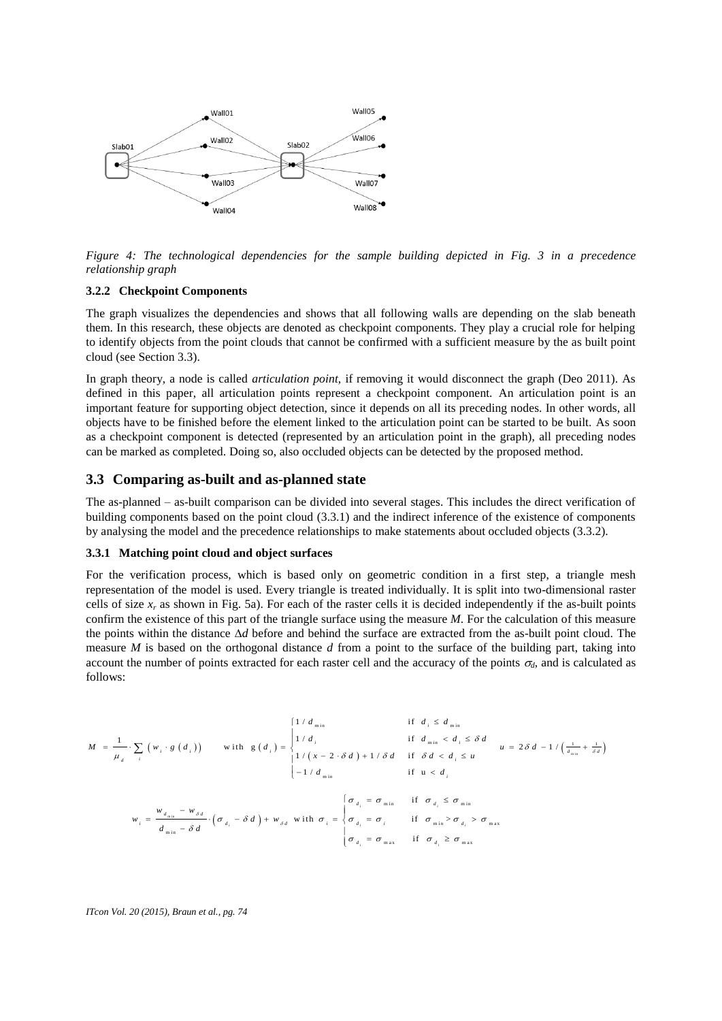

*Figure 4: The technological dependencies for the sample building depicted in Fig. 3 in a precedence relationship graph*

#### **3.2.2 Checkpoint Components**

The graph visualizes the dependencies and shows that all following walls are depending on the slab beneath them. In this research, these objects are denoted as checkpoint components. They play a crucial role for helping to identify objects from the point clouds that cannot be confirmed with a sufficient measure by the as built point cloud (see Section 3.3).

In graph theory, a node is called *articulation point,* if removing it would disconnect the graph (Deo 2011). As defined in this paper, all articulation points represent a checkpoint component. An articulation point is an important feature for supporting object detection, since it depends on all its preceding nodes. In other words, all objects have to be finished before the element linked to the articulation point can be started to be built. As soon as a checkpoint component is detected (represented by an articulation point in the graph), all preceding nodes can be marked as completed. Doing so, also occluded objects can be detected by the proposed method.

### **3.3 Comparing as-built and as-planned state**

The as-planned – as-built comparison can be divided into several stages. This includes the direct verification of building components based on the point cloud (3.3.1) and the indirect inference of the existence of components by analysing the model and the precedence relationships to make statements about occluded objects (3.3.2).

#### **3.3.1 Matching point cloud and object surfaces**

For the verification process, which is based only on geometric condition in a first step, a triangle mesh representation of the model is used. Every triangle is treated individually. It is split into two-dimensional raster cells of size  $x_r$  as shown in Fig. [5a](#page-7-0)). For each of the raster cells it is decided independently if the as-built points confirm the existence of this part of the triangle surface using the measure *M*. For the calculation of this measure the points within the distance  $\Delta d$  before and behind the surface are extracted from the as-built point cloud. The measure *M* is based on the orthogonal distance *d* from a point to the surface of the building part, taking into account the number of points extracted for each raster cell and the accuracy of the points  $\sigma_d$ , and is calculated as follows:

$$
M = \frac{1}{\mu_d} \cdot \sum_{i} \left( w_i \cdot g\left(d_i\right) \right) \qquad \text{with } g\left(d_i\right) = \begin{cases} 1/d_{\min} & \text{if } d_i \le d_{\min} \\ 1/d_i & \text{if } d_{\min} < d_i \le \delta d \\ 1/(x - 2 \cdot \delta d) + 1/\delta d & \text{if } \delta d < d_i \le u \\ -1/d_{\min} & \text{if } u < d_i \end{cases} \qquad u = 2\delta d - 1/\left(\frac{1}{d_{\min}} + \frac{1}{\delta d}\right)
$$

$$
w_i = \frac{w_{d_{\min}} - w_{\delta d}}{d_{\min} - \delta d} \cdot \left(\sigma_{d_i} - \delta d\right) + w_{\delta d} \quad \text{with } \sigma_i = \begin{cases} \sigma_{d_i} = \sigma_{\min} & \text{if } \sigma_{d_i} \le \sigma_{\min} \\ \sigma_{d_i} = \sigma_i & \text{if } \sigma_{\min} > \sigma_{d_i} > \sigma_{\max} \\ \sigma_{d_i} = \sigma_{\max} & \text{if } \sigma_{d_i} \ge \sigma_{\max} \end{cases}
$$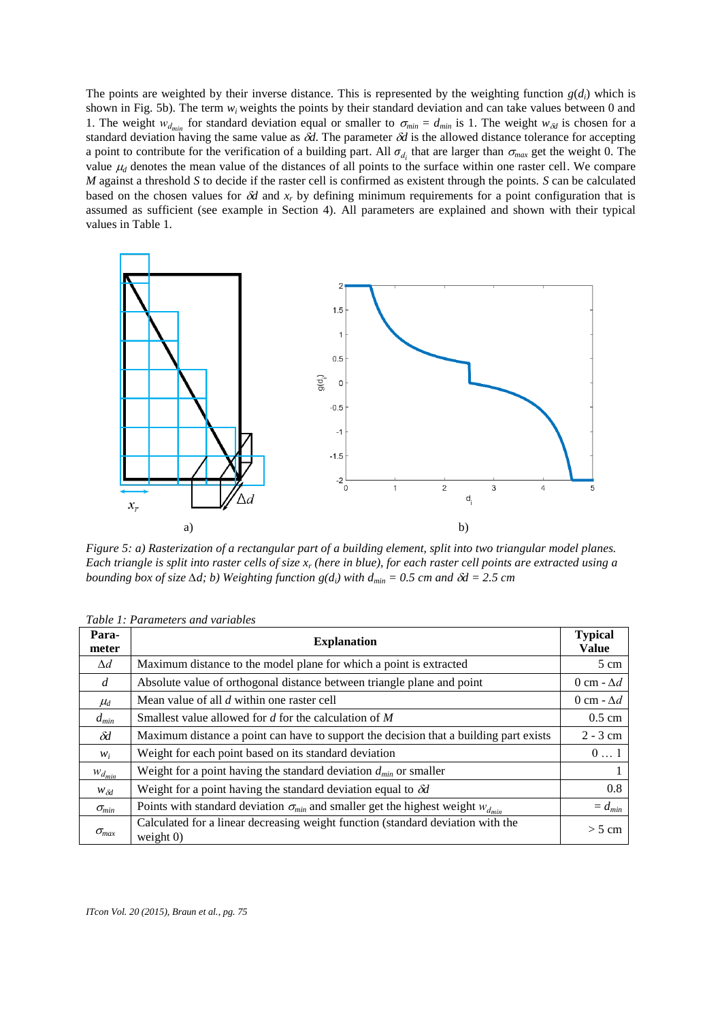The points are weighted by their inverse distance. This is represented by the weighting function  $g(d_i)$  which is shown in Fig. [5b](#page-7-0)). The term *wi* weights the points by their standard deviation and can take values between 0 and 1. The weight  $w_{d_{min}}$  for standard deviation equal or smaller to  $\sigma_{min} = d_{min}$  is 1. The weight  $w_{dd}$  is chosen for a standard deviation having the same value as  $\delta d$ . The parameter  $\delta d$  is the allowed distance tolerance for accepting a point to contribute for the verification of a building part. All  $\sigma_{d_i}$  that are larger than  $\sigma_{max}$  get the weight 0. The value  $\mu_d$  denotes the mean value of the distances of all points to the surface within one raster cell. We compare *M* against a threshold *S* to decide if the raster cell is confirmed as existent through the points. *S* can be calculated based on the chosen values for  $\delta d$  and  $x_r$  by defining minimum requirements for a point configuration that is assumed as sufficient (see example in Section 4). All parameters are explained and shown with their typical values in Tabl[e 1.](#page-7-1)



<span id="page-7-0"></span>*Figure 5: a) Rasterization of a rectangular part of a building element, split into two triangular model planes. Each triangle is split into raster cells of size x<sup>r</sup> (here in blue), for each raster cell points are extracted using a bounding box of size ∆d; b) Weighting function g(di) with dmin = 0.5 cm and d = 2.5 cm*

| Para-<br>meter        | <b>Explanation</b>                                                                              |                  |  |  |
|-----------------------|-------------------------------------------------------------------------------------------------|------------------|--|--|
| $\Delta d$            | Maximum distance to the model plane for which a point is extracted                              |                  |  |  |
| $\overline{d}$        | Absolute value of orthogonal distance between triangle plane and point                          |                  |  |  |
| $\mu_d$               | Mean value of all d within one raster cell                                                      |                  |  |  |
| $d_{min}$             | Smallest value allowed for $d$ for the calculation of $M$                                       | $0.5 \text{ cm}$ |  |  |
| $\delta d$            | Maximum distance a point can have to support the decision that a building part exists           | $2 - 3$ cm       |  |  |
| $W_i$                 | Weight for each point based on its standard deviation                                           | $0 \ldots 1$     |  |  |
| $W_{d_{min}}$         | Weight for a point having the standard deviation $d_{min}$ or smaller                           |                  |  |  |
| $W_{\delta d}$        | Weight for a point having the standard deviation equal to $\delta d$                            |                  |  |  |
| $\sigma_{min}$        | Points with standard deviation $\sigma_{min}$ and smaller get the highest weight $w_{d_{min}}$  |                  |  |  |
| $\sigma_{\text{max}}$ | Calculated for a linear decreasing weight function (standard deviation with the<br>weight $0$ ) | $> 5$ cm         |  |  |

<span id="page-7-1"></span>*Table 1: Parameters and variables*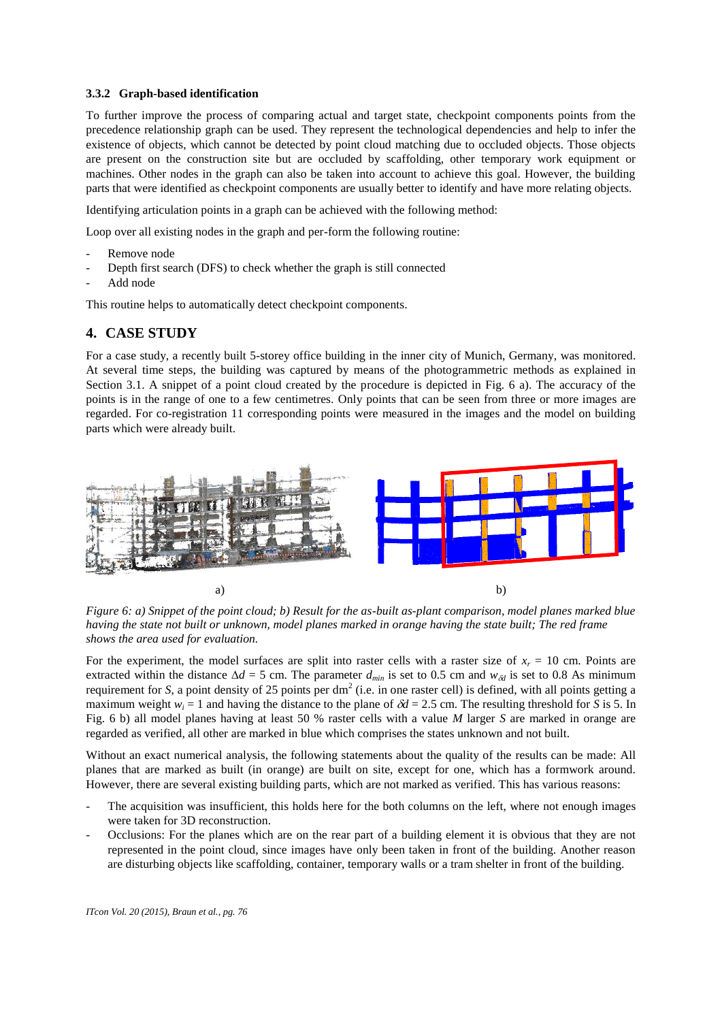### **3.3.2 Graph-based identification**

To further improve the process of comparing actual and target state, checkpoint components points from the precedence relationship graph can be used. They represent the technological dependencies and help to infer the existence of objects, which cannot be detected by point cloud matching due to occluded objects. Those objects are present on the construction site but are occluded by scaffolding, other temporary work equipment or machines. Other nodes in the graph can also be taken into account to achieve this goal. However, the building parts that were identified as checkpoint components are usually better to identify and have more relating objects.

Identifying articulation points in a graph can be achieved with the following method:

Loop over all existing nodes in the graph and per-form the following routine:

- Remove node
- Depth first search (DFS) to check whether the graph is still connected
- Add node

This routine helps to automatically detect checkpoint components.

## **4. CASE STUDY**

For a case study, a recently built 5-storey office building in the inner city of Munich, Germany, was monitored. At several time steps, the building was captured by means of the photogrammetric methods as explained in Section 3.1. A snippet of a point cloud created by the procedure is depicted in Fig. [6](#page-8-0) a). The accuracy of the points is in the range of one to a few centimetres. Only points that can be seen from three or more images are regarded. For co-registration 11 corresponding points were measured in the images and the model on building parts which were already built.



<span id="page-8-0"></span>*Figure 6: a) Snippet of the point cloud; b) Result for the as-built as-plant comparison, model planes marked blue having the state not built or unknown, model planes marked in orange having the state built; The red frame shows the area used for evaluation.*

For the experiment, the model surfaces are split into raster cells with a raster size of  $x_r = 10$  cm. Points are extracted within the distance  $\Delta d = 5$  cm. The parameter  $d_{min}$  is set to 0.5 cm and  $w_{\delta d}$  is set to 0.8 As minimum requirement for *S*, a point density of 25 points per  $dm^2$  (i.e. in one raster cell) is defined, with all points getting a maximum weight  $w_i = 1$  and having the distance to the plane of  $\delta d = 2.5$  cm. The resulting threshold for *S* is 5. In Fig. [6](#page-8-0) b) all model planes having at least 50 % raster cells with a value *M* larger *S* are marked in orange are regarded as verified, all other are marked in blue which comprises the states unknown and not built.

Without an exact numerical analysis, the following statements about the quality of the results can be made: All planes that are marked as built (in orange) are built on site, except for one, which has a formwork around. However, there are several existing building parts, which are not marked as verified. This has various reasons:

- The acquisition was insufficient, this holds here for the both columns on the left, where not enough images were taken for 3D reconstruction.
- Occlusions: For the planes which are on the rear part of a building element it is obvious that they are not represented in the point cloud, since images have only been taken in front of the building. Another reason are disturbing objects like scaffolding, container, temporary walls or a tram shelter in front of the building.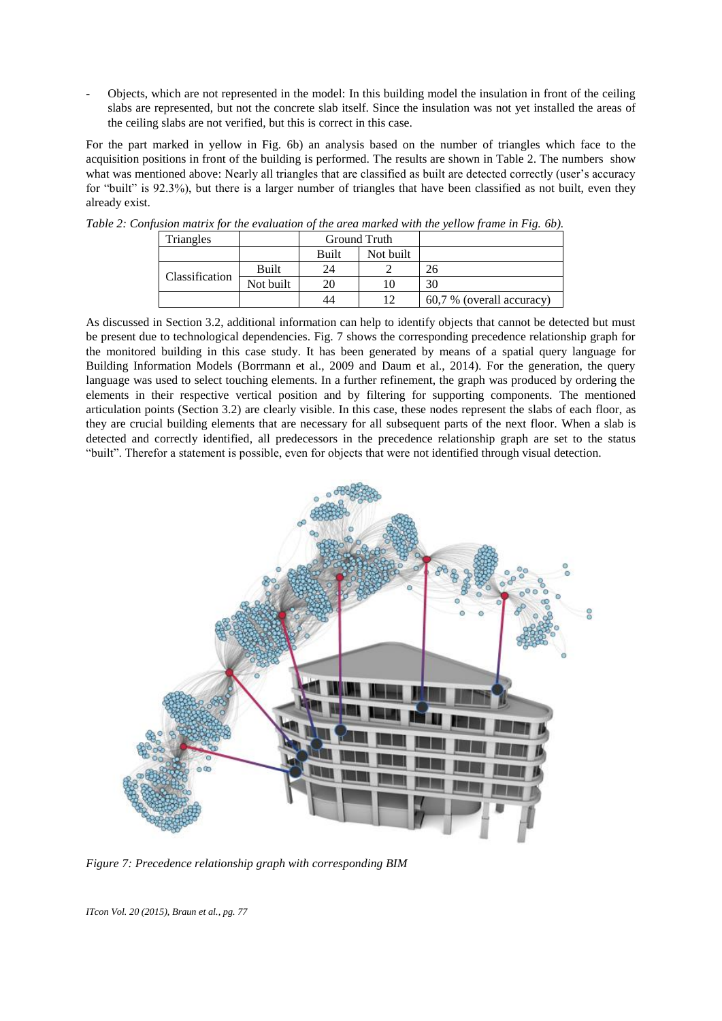- Objects, which are not represented in the model: In this building model the insulation in front of the ceiling slabs are represented, but not the concrete slab itself. Since the insulation was not yet installed the areas of the ceiling slabs are not verified, but this is correct in this case.

For the part marked in yellow in Fig. [6b](#page-8-0)) an analysis based on the number of triangles which face to the acquisition positions in front of the building is performed. The results are shown in Table [2.](#page-9-0) The numbers show what was mentioned above: Nearly all triangles that are classified as built are detected correctly (user's accuracy for "built" is 92.3%), but there is a larger number of triangles that have been classified as not built, even they already exist.

| Triangles      |           | Ground Truth |           |                           |
|----------------|-----------|--------------|-----------|---------------------------|
|                |           | Built        | Not built |                           |
| Classification | Built     | 24           |           | 26                        |
|                | Not built | 20           |           | 30                        |
|                |           | 44           |           | 60.7 % (overall accuracy) |

<span id="page-9-0"></span>*Table 2: Confusion matrix for the evaluation of the area marked with the yellow frame in Fig. [6b](#page-8-0)).*

As discussed in Section 3.2, additional information can help to identify objects that cannot be detected but must be present due to technological dependencies. Fig. 7 shows the corresponding precedence relationship graph for the monitored building in this case study. It has been generated by means of a spatial query language for Building Information Models (Borrmann et al., 2009 and Daum et al., 2014). For the generation, the query language was used to select touching elements. In a further refinement, the graph was produced by ordering the elements in their respective vertical position and by filtering for supporting components. The mentioned articulation points (Section 3.2) are clearly visible. In this case, these nodes represent the slabs of each floor, as they are crucial building elements that are necessary for all subsequent parts of the next floor. When a slab is detected and correctly identified, all predecessors in the precedence relationship graph are set to the status "built". Therefor a statement is possible, even for objects that were not identified through visual detection.



*Figure 7: Precedence relationship graph with corresponding BIM*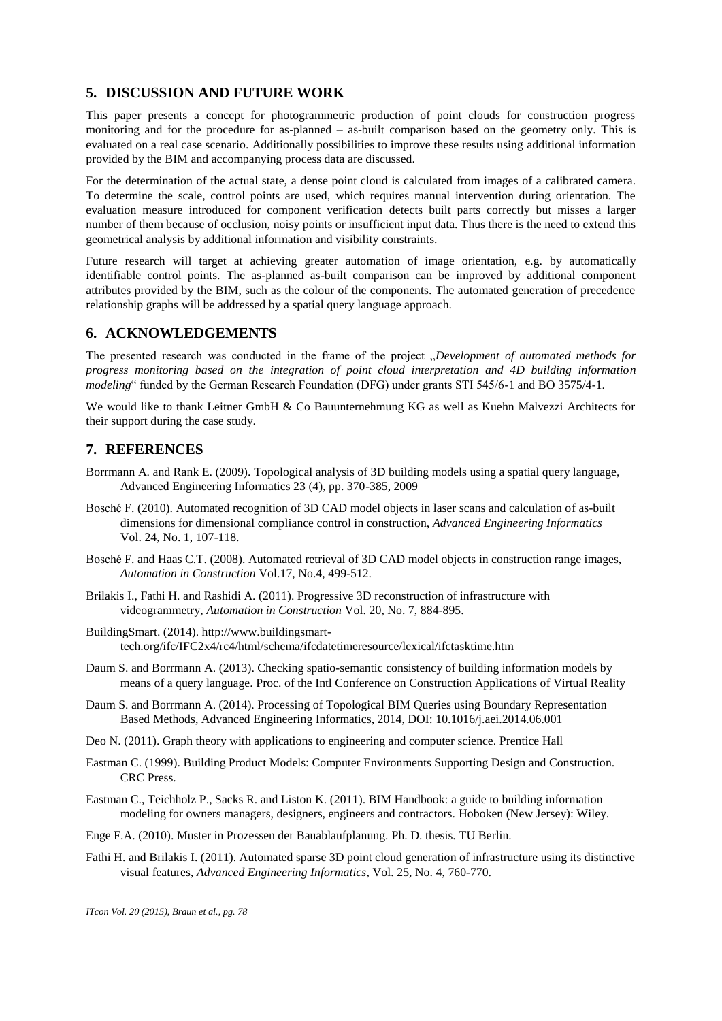## **5. DISCUSSION AND FUTURE WORK**

This paper presents a concept for photogrammetric production of point clouds for construction progress monitoring and for the procedure for as-planned – as-built comparison based on the geometry only. This is evaluated on a real case scenario. Additionally possibilities to improve these results using additional information provided by the BIM and accompanying process data are discussed.

For the determination of the actual state, a dense point cloud is calculated from images of a calibrated camera. To determine the scale, control points are used, which requires manual intervention during orientation. The evaluation measure introduced for component verification detects built parts correctly but misses a larger number of them because of occlusion, noisy points or insufficient input data. Thus there is the need to extend this geometrical analysis by additional information and visibility constraints.

Future research will target at achieving greater automation of image orientation, e.g. by automatically identifiable control points. The as-planned as-built comparison can be improved by additional component attributes provided by the BIM, such as the colour of the components. The automated generation of precedence relationship graphs will be addressed by a spatial query language approach.

# **6. ACKNOWLEDGEMENTS**

The presented research was conducted in the frame of the project "*Development of automated methods for progress monitoring based on the integration of point cloud interpretation and 4D building information modeling*" funded by the German Research Foundation (DFG) under grants STI 545/6-1 and BO 3575/4-1.

We would like to thank Leitner GmbH & Co Bauunternehmung KG as well as Kuehn Malvezzi Architects for their support during the case study.

## **7. REFERENCES**

- Borrmann A. and Rank E. (2009). Topological analysis of 3D building models using a spatial query language, Advanced Engineering Informatics 23 (4), pp. 370-385, 2009
- Bosché F. (2010). Automated recognition of 3D CAD model objects in laser scans and calculation of as-built dimensions for dimensional compliance control in construction, *Advanced Engineering Informatics* Vol. 24, No. 1, 107-118.
- Bosché F. and Haas C.T. (2008). Automated retrieval of 3D CAD model objects in construction range images, *Automation in Construction* Vol.17, No.4, 499-512.
- Brilakis I., Fathi H. and Rashidi A. (2011). Progressive 3D reconstruction of infrastructure with videogrammetry, *Automation in Construction* Vol. 20, No. 7, 884-895.
- BuildingSmart. (2014). http://www.buildingsmarttech.org/ifc/IFC2x4/rc4/html/schema/ifcdatetimeresource/lexical/ifctasktime.htm
- Daum S. and Borrmann A. (2013). Checking spatio-semantic consistency of building information models by means of a query language. Proc. of the Intl Conference on Construction Applications of Virtual Reality
- Daum S. and Borrmann A. (2014). Processing of Topological BIM Queries using Boundary Representation Based Methods, Advanced Engineering Informatics, 2014, DOI: 10.1016/j.aei.2014.06.001
- Deo N. (2011). Graph theory with applications to engineering and computer science. Prentice Hall
- Eastman C. (1999). Building Product Models: Computer Environments Supporting Design and Construction. CRC Press.
- Eastman C., Teichholz P., Sacks R. and Liston K. (2011). BIM Handbook: a guide to building information modeling for owners managers, designers, engineers and contractors. Hoboken (New Jersey): Wiley.
- Enge F.A. (2010). Muster in Prozessen der Bauablaufplanung. Ph. D. thesis. TU Berlin.
- Fathi H. and Brilakis I. (2011). Automated sparse 3D point cloud generation of infrastructure using its distinctive visual features, *Advanced Engineering Informatics*, Vol. 25, No. 4, 760-770.